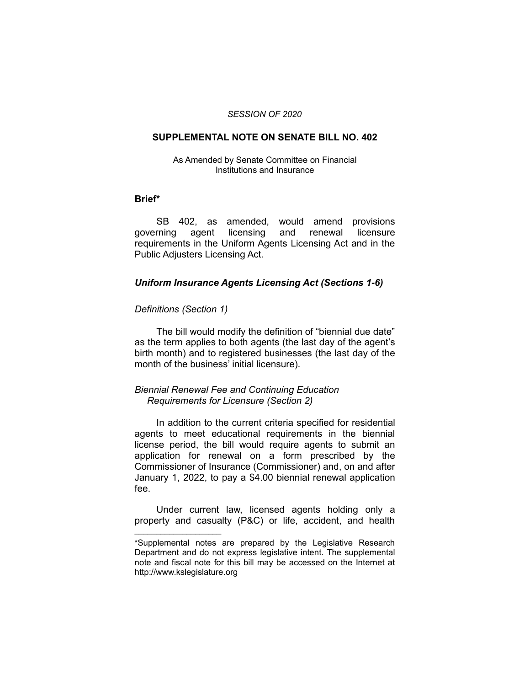#### *SESSION OF 2020*

#### **SUPPLEMENTAL NOTE ON SENATE BILL NO. 402**

#### As Amended by Senate Committee on Financial Institutions and Insurance

#### **Brief\***

SB 402, as amended, would amend provisions governing agent licensing and renewal licensure requirements in the Uniform Agents Licensing Act and in the Public Adjusters Licensing Act.

## *Uniform Insurance Agents Licensing Act (Sections 1-6)*

### *Definitions (Section 1)*

 $\overline{\phantom{a}}$  , where  $\overline{\phantom{a}}$  , where  $\overline{\phantom{a}}$ 

The bill would modify the definition of "biennial due date" as the term applies to both agents (the last day of the agent's birth month) and to registered businesses (the last day of the month of the business' initial licensure).

## *Biennial Renewal Fee and Continuing Education Requirements for Licensure (Section 2)*

In addition to the current criteria specified for residential agents to meet educational requirements in the biennial license period, the bill would require agents to submit an application for renewal on a form prescribed by the Commissioner of Insurance (Commissioner) and, on and after January 1, 2022, to pay a \$4.00 biennial renewal application fee.

Under current law, licensed agents holding only a property and casualty (P&C) or life, accident, and health

<sup>\*</sup>Supplemental notes are prepared by the Legislative Research Department and do not express legislative intent. The supplemental note and fiscal note for this bill may be accessed on the Internet at http://www.kslegislature.org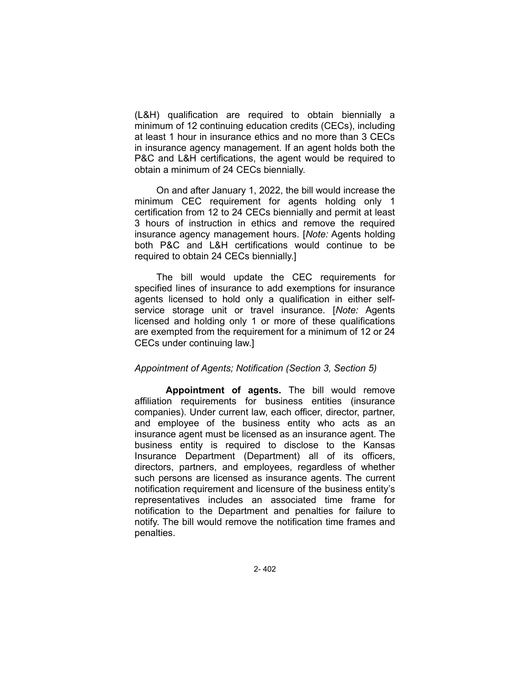(L&H) qualification are required to obtain biennially a minimum of 12 continuing education credits (CECs), including at least 1 hour in insurance ethics and no more than 3 CECs in insurance agency management. If an agent holds both the P&C and L&H certifications, the agent would be required to obtain a minimum of 24 CECs biennially.

On and after January 1, 2022, the bill would increase the minimum CEC requirement for agents holding only 1 certification from 12 to 24 CECs biennially and permit at least 3 hours of instruction in ethics and remove the required insurance agency management hours. [*Note:* Agents holding both P&C and L&H certifications would continue to be required to obtain 24 CECs biennially.]

The bill would update the CEC requirements for specified lines of insurance to add exemptions for insurance agents licensed to hold only a qualification in either selfservice storage unit or travel insurance. [*Note:* Agents licensed and holding only 1 or more of these qualifications are exempted from the requirement for a minimum of 12 or 24 CECs under continuing law.]

#### *Appointment of Agents; Notification (Section 3, Section 5)*

**Appointment of agents.** The bill would remove affiliation requirements for business entities (insurance companies). Under current law, each officer, director, partner, and employee of the business entity who acts as an insurance agent must be licensed as an insurance agent. The business entity is required to disclose to the Kansas Insurance Department (Department) all of its officers, directors, partners, and employees, regardless of whether such persons are licensed as insurance agents. The current notification requirement and licensure of the business entity's representatives includes an associated time frame for notification to the Department and penalties for failure to notify. The bill would remove the notification time frames and penalties.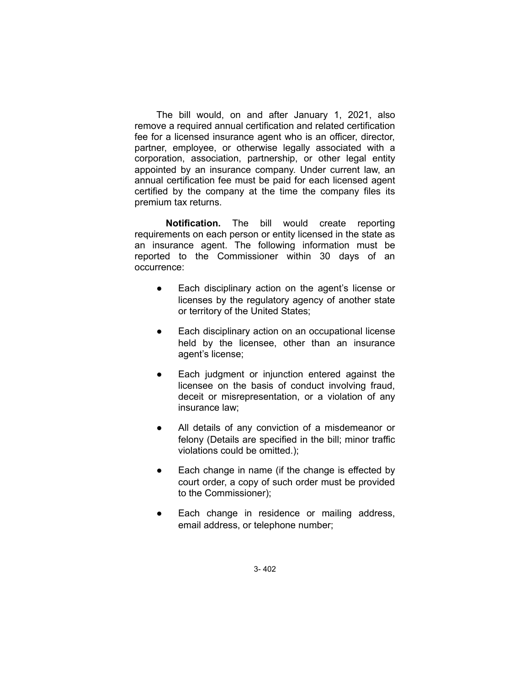The bill would, on and after January 1, 2021, also remove a required annual certification and related certification fee for a licensed insurance agent who is an officer, director, partner, employee, or otherwise legally associated with a corporation, association, partnership, or other legal entity appointed by an insurance company. Under current law, an annual certification fee must be paid for each licensed agent certified by the company at the time the company files its premium tax returns.

**Notification.** The bill would create reporting requirements on each person or entity licensed in the state as an insurance agent. The following information must be reported to the Commissioner within 30 days of an occurrence:

- Each disciplinary action on the agent's license or licenses by the regulatory agency of another state or territory of the United States;
- Each disciplinary action on an occupational license held by the licensee, other than an insurance agent's license;
- Each judgment or injunction entered against the licensee on the basis of conduct involving fraud, deceit or misrepresentation, or a violation of any insurance law;
- All details of any conviction of a misdemeanor or felony (Details are specified in the bill; minor traffic violations could be omitted.);
- Each change in name (if the change is effected by court order, a copy of such order must be provided to the Commissioner);
- Each change in residence or mailing address, email address, or telephone number;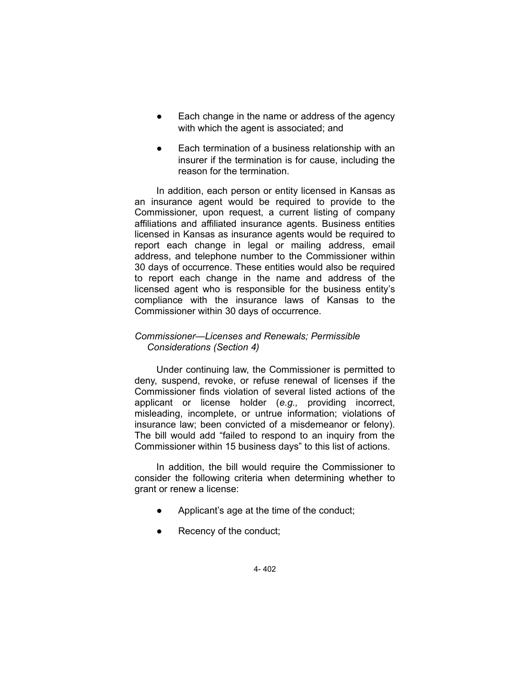- Each change in the name or address of the agency with which the agent is associated; and
- Each termination of a business relationship with an insurer if the termination is for cause, including the reason for the termination.

In addition, each person or entity licensed in Kansas as an insurance agent would be required to provide to the Commissioner, upon request, a current listing of company affiliations and affiliated insurance agents. Business entities licensed in Kansas as insurance agents would be required to report each change in legal or mailing address, email address, and telephone number to the Commissioner within 30 days of occurrence. These entities would also be required to report each change in the name and address of the licensed agent who is responsible for the business entity's compliance with the insurance laws of Kansas to the Commissioner within 30 days of occurrence.

## *Commissioner—Licenses and Renewals; Permissible Considerations (Section 4)*

Under continuing law, the Commissioner is permitted to deny, suspend, revoke, or refuse renewal of licenses if the Commissioner finds violation of several listed actions of the applicant or license holder (*e.g.,* providing incorrect, misleading, incomplete, or untrue information; violations of insurance law; been convicted of a misdemeanor or felony). The bill would add "failed to respond to an inquiry from the Commissioner within 15 business days" to this list of actions.

In addition, the bill would require the Commissioner to consider the following criteria when determining whether to grant or renew a license:

- Applicant's age at the time of the conduct;
- Recency of the conduct;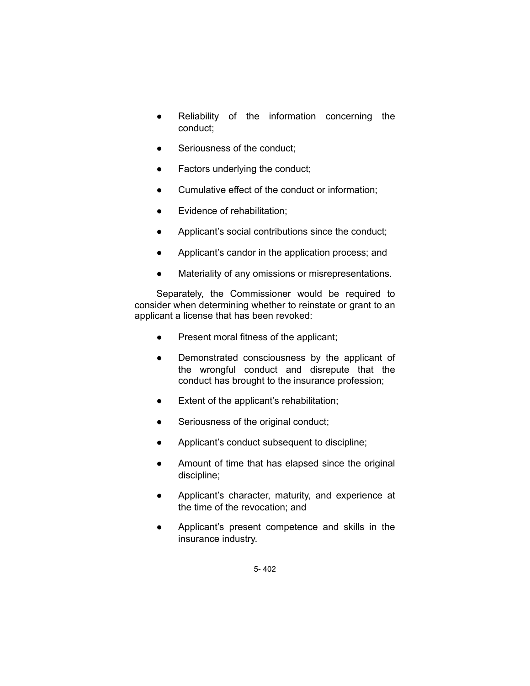- Reliability of the information concerning the conduct;
- Seriousness of the conduct;
- Factors underlying the conduct;
- Cumulative effect of the conduct or information;
- Evidence of rehabilitation;
- Applicant's social contributions since the conduct;
- Applicant's candor in the application process; and
- Materiality of any omissions or misrepresentations.

Separately, the Commissioner would be required to consider when determining whether to reinstate or grant to an applicant a license that has been revoked:

- Present moral fitness of the applicant;
- Demonstrated consciousness by the applicant of the wrongful conduct and disrepute that the conduct has brought to the insurance profession;
- Extent of the applicant's rehabilitation;
- **•** Seriousness of the original conduct;
- Applicant's conduct subsequent to discipline;
- Amount of time that has elapsed since the original discipline;
- Applicant's character, maturity, and experience at the time of the revocation; and
- Applicant's present competence and skills in the insurance industry.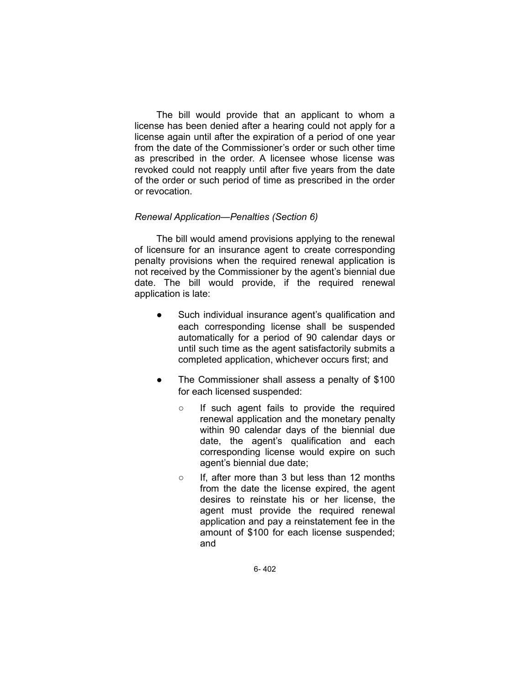The bill would provide that an applicant to whom a license has been denied after a hearing could not apply for a license again until after the expiration of a period of one year from the date of the Commissioner's order or such other time as prescribed in the order. A licensee whose license was revoked could not reapply until after five years from the date of the order or such period of time as prescribed in the order or revocation.

## *Renewal Application—Penalties (Section 6)*

The bill would amend provisions applying to the renewal of licensure for an insurance agent to create corresponding penalty provisions when the required renewal application is not received by the Commissioner by the agent's biennial due date. The bill would provide, if the required renewal application is late:

- Such individual insurance agent's qualification and each corresponding license shall be suspended automatically for a period of 90 calendar days or until such time as the agent satisfactorily submits a completed application, whichever occurs first; and
- The Commissioner shall assess a penalty of \$100 for each licensed suspended:
	- If such agent fails to provide the required renewal application and the monetary penalty within 90 calendar days of the biennial due date, the agent's qualification and each corresponding license would expire on such agent's biennial due date;
	- If, after more than 3 but less than 12 months from the date the license expired, the agent desires to reinstate his or her license, the agent must provide the required renewal application and pay a reinstatement fee in the amount of \$100 for each license suspended; and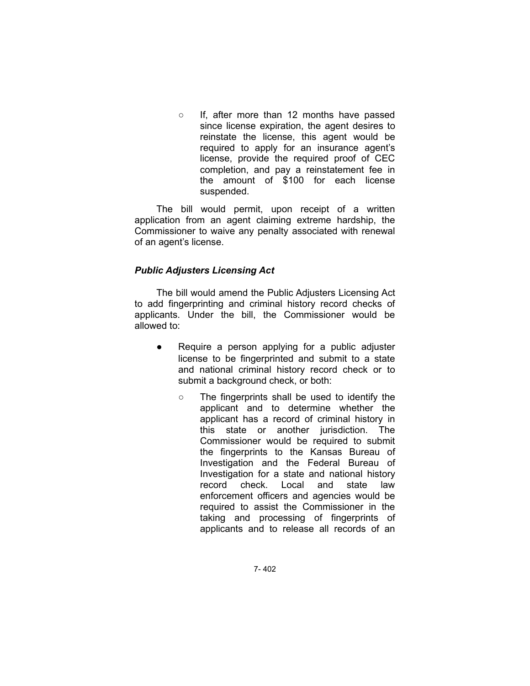○ If, after more than 12 months have passed since license expiration, the agent desires to reinstate the license, this agent would be required to apply for an insurance agent's license, provide the required proof of CEC completion, and pay a reinstatement fee in the amount of \$100 for each license suspended.

The bill would permit, upon receipt of a written application from an agent claiming extreme hardship, the Commissioner to waive any penalty associated with renewal of an agent's license.

# *Public Adjusters Licensing Act*

The bill would amend the Public Adjusters Licensing Act to add fingerprinting and criminal history record checks of applicants. Under the bill, the Commissioner would be allowed to:

- Require a person applying for a public adjuster license to be fingerprinted and submit to a state and national criminal history record check or to submit a background check, or both:
	- The fingerprints shall be used to identify the applicant and to determine whether the applicant has a record of criminal history in this state or another jurisdiction. The Commissioner would be required to submit the fingerprints to the Kansas Bureau of Investigation and the Federal Bureau of Investigation for a state and national history record check. Local and state law enforcement officers and agencies would be required to assist the Commissioner in the taking and processing of fingerprints of applicants and to release all records of an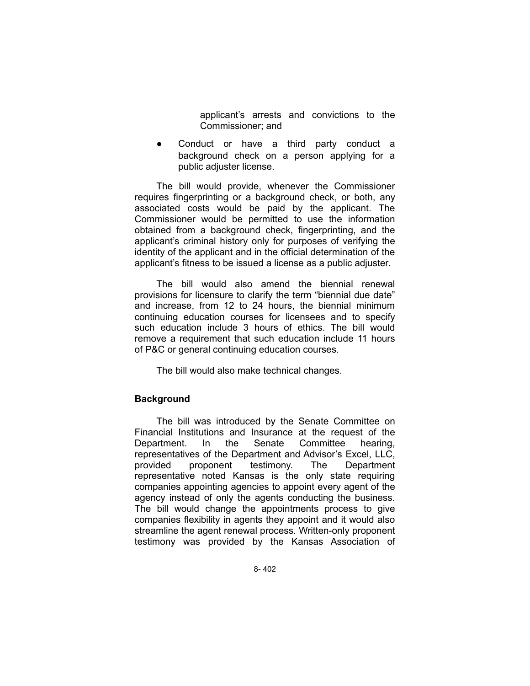applicant's arrests and convictions to the Commissioner; and

Conduct or have a third party conduct a background check on a person applying for a public adjuster license.

The bill would provide, whenever the Commissioner requires fingerprinting or a background check, or both, any associated costs would be paid by the applicant. The Commissioner would be permitted to use the information obtained from a background check, fingerprinting, and the applicant's criminal history only for purposes of verifying the identity of the applicant and in the official determination of the applicant's fitness to be issued a license as a public adjuster.

The bill would also amend the biennial renewal provisions for licensure to clarify the term "biennial due date" and increase, from 12 to 24 hours, the biennial minimum continuing education courses for licensees and to specify such education include 3 hours of ethics. The bill would remove a requirement that such education include 11 hours of P&C or general continuing education courses.

The bill would also make technical changes.

## **Background**

The bill was introduced by the Senate Committee on Financial Institutions and Insurance at the request of the Department. In the Senate Committee hearing, representatives of the Department and Advisor's Excel, LLC, provided proponent testimony. The Department representative noted Kansas is the only state requiring companies appointing agencies to appoint every agent of the agency instead of only the agents conducting the business. The bill would change the appointments process to give companies flexibility in agents they appoint and it would also streamline the agent renewal process. Written-only proponent testimony was provided by the Kansas Association of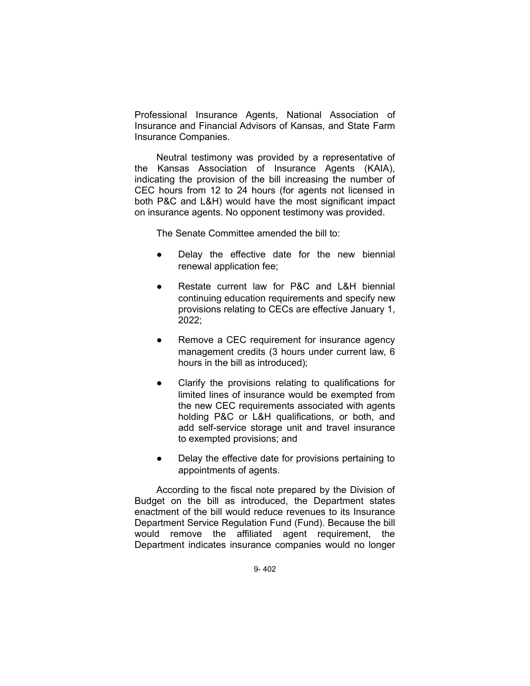Professional Insurance Agents, National Association of Insurance and Financial Advisors of Kansas, and State Farm Insurance Companies.

Neutral testimony was provided by a representative of the Kansas Association of Insurance Agents (KAIA), indicating the provision of the bill increasing the number of CEC hours from 12 to 24 hours (for agents not licensed in both P&C and L&H) would have the most significant impact on insurance agents. No opponent testimony was provided.

The Senate Committee amended the bill to:

- Delay the effective date for the new biennial renewal application fee;
- Restate current law for P&C and L&H biennial continuing education requirements and specify new provisions relating to CECs are effective January 1, 2022;
- Remove a CEC requirement for insurance agency management credits (3 hours under current law, 6 hours in the bill as introduced);
- Clarify the provisions relating to qualifications for limited lines of insurance would be exempted from the new CEC requirements associated with agents holding P&C or L&H qualifications, or both, and add self-service storage unit and travel insurance to exempted provisions; and
- Delay the effective date for provisions pertaining to appointments of agents.

According to the fiscal note prepared by the Division of Budget on the bill as introduced, the Department states enactment of the bill would reduce revenues to its Insurance Department Service Regulation Fund (Fund). Because the bill would remove the affiliated agent requirement, the Department indicates insurance companies would no longer